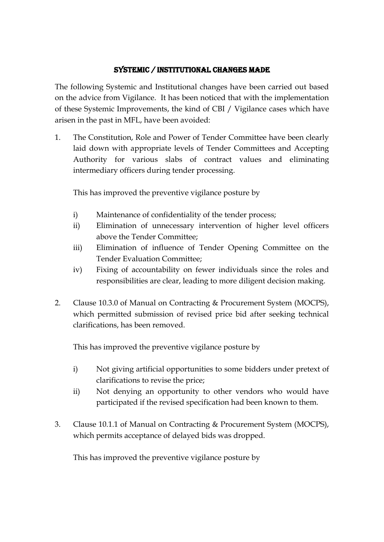## Systemic / Institutional changes made

The following Systemic and Institutional changes have been carried out based on the advice from Vigilance. It has been noticed that with the implementation of these Systemic Improvements, the kind of CBI / Vigilance cases which have arisen in the past in MFL, have been avoided:

1. The Constitution, Role and Power of Tender Committee have been clearly laid down with appropriate levels of Tender Committees and Accepting Authority for various slabs of contract values and eliminating intermediary officers during tender processing.

This has improved the preventive vigilance posture by

- i) Maintenance of confidentiality of the tender process;
- ii) Elimination of unnecessary intervention of higher level officers above the Tender Committee;
- iii) Elimination of influence of Tender Opening Committee on the Tender Evaluation Committee;
- iv) Fixing of accountability on fewer individuals since the roles and responsibilities are clear, leading to more diligent decision making.
- 2. Clause 10.3.0 of Manual on Contracting & Procurement System (MOCPS), which permitted submission of revised price bid after seeking technical clarifications, has been removed.

This has improved the preventive vigilance posture by

- i) Not giving artificial opportunities to some bidders under pretext of clarifications to revise the price;
- ii) Not denying an opportunity to other vendors who would have participated if the revised specification had been known to them.
- 3. Clause 10.1.1 of Manual on Contracting & Procurement System (MOCPS), which permits acceptance of delayed bids was dropped.

This has improved the preventive vigilance posture by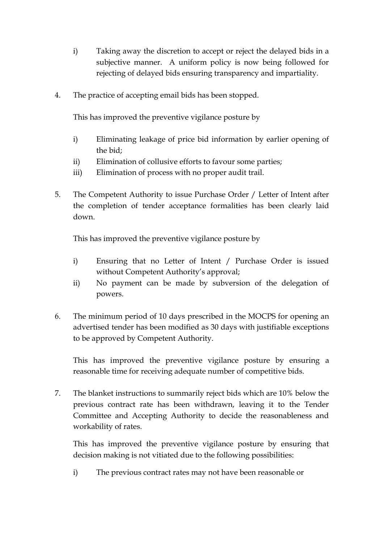- i) Taking away the discretion to accept or reject the delayed bids in a subjective manner. A uniform policy is now being followed for rejecting of delayed bids ensuring transparency and impartiality.
- 4. The practice of accepting email bids has been stopped.

This has improved the preventive vigilance posture by

- i) Eliminating leakage of price bid information by earlier opening of the bid;
- ii) Elimination of collusive efforts to favour some parties;
- iii) Elimination of process with no proper audit trail.
- 5. The Competent Authority to issue Purchase Order / Letter of Intent after the completion of tender acceptance formalities has been clearly laid down.

This has improved the preventive vigilance posture by

- i) Ensuring that no Letter of Intent / Purchase Order is issued without Competent Authority's approval;
- ii) No payment can be made by subversion of the delegation of powers.
- 6. The minimum period of 10 days prescribed in the MOCPS for opening an advertised tender has been modified as 30 days with justifiable exceptions to be approved by Competent Authority.

This has improved the preventive vigilance posture by ensuring a reasonable time for receiving adequate number of competitive bids.

7. The blanket instructions to summarily reject bids which are 10% below the previous contract rate has been withdrawn, leaving it to the Tender Committee and Accepting Authority to decide the reasonableness and workability of rates.

This has improved the preventive vigilance posture by ensuring that decision making is not vitiated due to the following possibilities:

i) The previous contract rates may not have been reasonable or